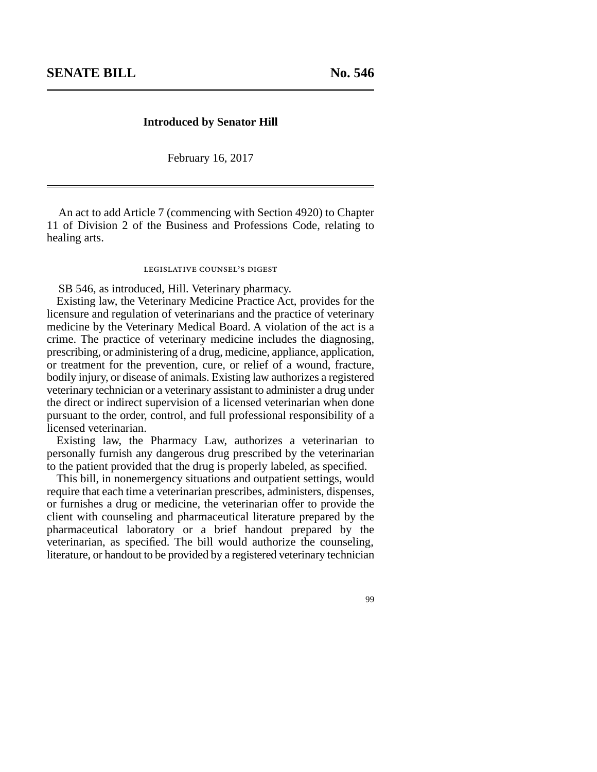## **Introduced by Senator Hill**

February 16, 2017

An act to add Article 7 (commencing with Section 4920) to Chapter 11 of Division 2 of the Business and Professions Code, relating to healing arts.

## legislative counsel's digest

SB 546, as introduced, Hill. Veterinary pharmacy.

Existing law, the Veterinary Medicine Practice Act, provides for the licensure and regulation of veterinarians and the practice of veterinary medicine by the Veterinary Medical Board. A violation of the act is a crime. The practice of veterinary medicine includes the diagnosing, prescribing, or administering of a drug, medicine, appliance, application, or treatment for the prevention, cure, or relief of a wound, fracture, bodily injury, or disease of animals. Existing law authorizes a registered veterinary technician or a veterinary assistant to administer a drug under the direct or indirect supervision of a licensed veterinarian when done pursuant to the order, control, and full professional responsibility of a licensed veterinarian.

Existing law, the Pharmacy Law, authorizes a veterinarian to personally furnish any dangerous drug prescribed by the veterinarian to the patient provided that the drug is properly labeled, as specified.

This bill, in nonemergency situations and outpatient settings, would require that each time a veterinarian prescribes, administers, dispenses, or furnishes a drug or medicine, the veterinarian offer to provide the client with counseling and pharmaceutical literature prepared by the pharmaceutical laboratory or a brief handout prepared by the veterinarian, as specified. The bill would authorize the counseling, literature, or handout to be provided by a registered veterinary technician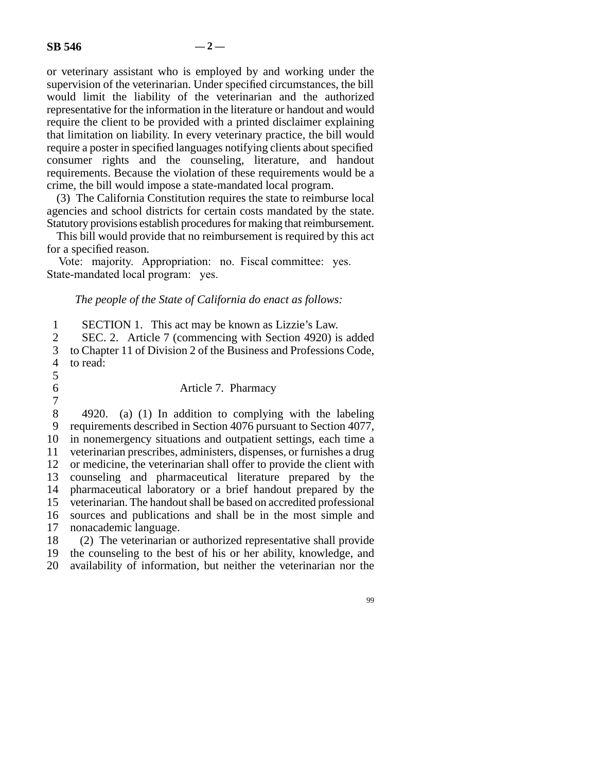or veterinary assistant who is employed by and working under the supervision of the veterinarian. Under specified circumstances, the bill would limit the liability of the veterinarian and the authorized representative for the information in the literature or handout and would require the client to be provided with a printed disclaimer explaining that limitation on liability. In every veterinary practice, the bill would require a poster in specified languages notifying clients about specified consumer rights and the counseling, literature, and handout requirements. Because the violation of these requirements would be a crime, the bill would impose a state-mandated local program.

(3) The California Constitution requires the state to reimburse local agencies and school districts for certain costs mandated by the state. Statutory provisions establish procedures for making that reimbursement.

This bill would provide that no reimbursement is required by this act for a specified reason.

Vote: majority. Appropriation: no. Fiscal committee: yes. State-mandated local program: yes.

*The people of the State of California do enact as follows:*

| 1              | SECTION 1. This act may be known as Lizzie's Law.                    |
|----------------|----------------------------------------------------------------------|
| $\overline{2}$ | SEC. 2. Article 7 (commencing with Section 4920) is added            |
| 3              | to Chapter 11 of Division 2 of the Business and Professions Code,    |
| $\overline{4}$ | to read:                                                             |
| 5              |                                                                      |
| 6              | Article 7. Pharmacy                                                  |
| $\overline{7}$ |                                                                      |
| 8              | 4920. (a) (1) In addition to complying with the labeling             |
| 9              | requirements described in Section 4076 pursuant to Section 4077,     |
| 10             | in nonemergency situations and outpatient settings, each time a      |
| 11             | veterinarian prescribes, administers, dispenses, or furnishes a drug |
| 12             | or medicine, the veterinarian shall offer to provide the client with |
| 13             | counseling and pharmaceutical literature prepared by the             |
| 14             | pharmaceutical laboratory or a brief handout prepared by the         |
| 15             | veterinarian. The handout shall be based on accredited professional  |
| 16             | sources and publications and shall be in the most simple and         |
| 17             | nonacademic language.                                                |
| 18             | (2) The veterinarian or authorized representative shall provide      |
| 19             | the counseling to the best of his or her ability, knowledge, and     |

20 availability of information, but neither the veterinarian nor the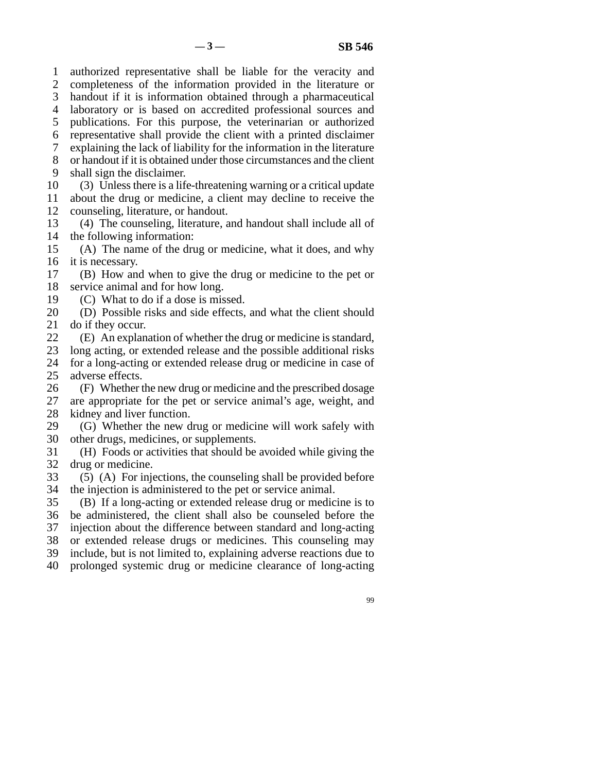line 1 authorized representative shall be liable for the veracity and 2 completeness of the information provided in the literature or 3 handout if it is information obtained through a pharmaceutical 4 laboratory or is based on accredited professional sources and 5 publications. For this purpose, the veterinarian or authorized line 6 representative shall provide the client with a printed disclaimer 7 explaining the lack of liability for the information in the literature 8 or handout if it is obtained under those circumstances and the client 9 shall sign the disclaimer. 10 (3) Unless there is a life-threatening warning or a critical update 11 about the drug or medicine, a client may decline to receive the 12 counseling, literature, or handout. 13 (4) The counseling, literature, and handout shall include all of 14 the following information:

15 (A) The name of the drug or medicine, what it does, and why 16 it is necessary.

- 17 (B) How and when to give the drug or medicine to the pet or 18 service animal and for how long.
- 19  $(C)$  What to do if a dose is missed.

20 (D) Possible risks and side effects, and what the client should 21 do if they occur.

22 (E) An explanation of whether the drug or medicine is standard,<br>23 long acting, or extended release and the possible additional risks long acting, or extended release and the possible additional risks 24 for a long-acting or extended release drug or medicine in case of 25 adverse effects. adverse effects.

26 (F) Whether the new drug or medicine and the prescribed dosage 27 are appropriate for the pet or service animal's age, weight, and are appropriate for the pet or service animal's age, weight, and 28 kidney and liver function.

- 29 (G) Whether the new drug or medicine will work safely with 30 other drugs, medicines, or supplements.
- 31 (H) Foods or activities that should be avoided while giving the 32 drug or medicine.
- 33 (5) (A) For injections, the counseling shall be provided before 34 the injection is administered to the pet or service animal.

35 (B) If a long-acting or extended release drug or medicine is to 36 be administered, the client shall also be counseled before the 37 injection about the difference between standard and long-acting 38 or extended release drugs or medicines. This counseling may 39 include, but is not limited to, explaining adverse reactions due to

- 40 prolonged systemic drug or medicine clearance of long-acting
	- 99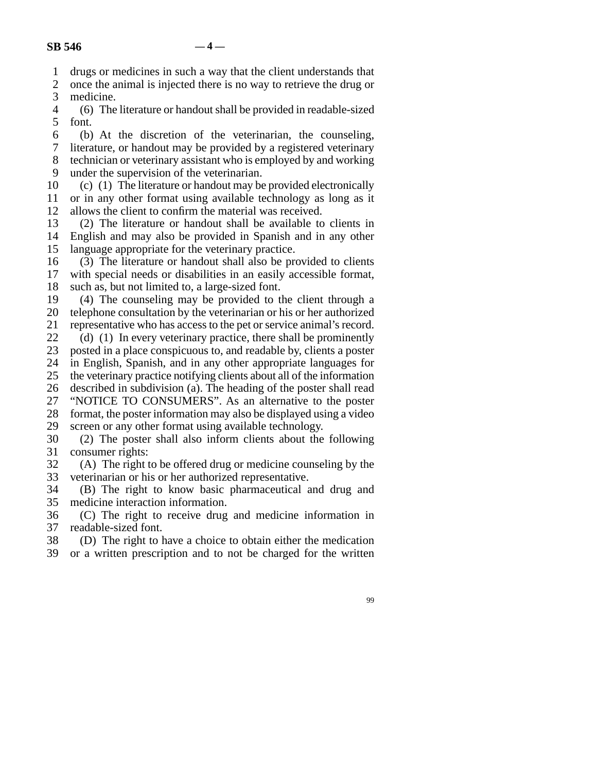line 1 drugs or medicines in such a way that the client understands that

2 once the animal is injected there is no way to retrieve the drug or medicine.

medicine.

4 (6) The literature or handout shall be provided in readable-sized 5 font.

 line 6 (b) At the discretion of the veterinarian, the counseling, 7 literature, or handout may be provided by a registered veterinary 8 technician or veterinary assistant who is employed by and working 9 under the supervision of the veterinarian.

10 (c) (1) The literature or handout may be provided electronically

11 or in any other format using available technology as long as it 12 allows the client to confirm the material was received.

13 (2) The literature or handout shall be available to clients in 14 English and may also be provided in Spanish and in any other 15 language appropriate for the veterinary practice.

16 (3) The literature or handout shall also be provided to clients 17 with special needs or disabilities in an easily accessible format, 18 such as, but not limited to, a large-sized font.

19 (4) The counseling may be provided to the client through a 20 telephone consultation by the veterinarian or his or her authorized 21 representative who has access to the pet or service animal's record.

22 (d) (1) In every veterinary practice, there shall be prominently  $23$  posted in a place conspicuous to, and readable by clients a poster posted in a place conspicuous to, and readable by, clients a poster 24 in English, Spanish, and in any other appropriate languages for 25 the veterinary practice notifying clients about all of the information line 25 the veterinary practice notifying clients about all of the information 26 described in subdivision (a). The heading of the poster shall read 27 "NOTICE TO CONSUMERS". As an alternative to the poster 28 format, the poster information may also be displayed using a video 29 screen or any other format using available technology.

30 (2) The poster shall also inform clients about the following 31 consumer rights:

32 (A) The right to be offered drug or medicine counseling by the veterinarian or his or her authorized representative. veterinarian or his or her authorized representative.

34 (B) The right to know basic pharmaceutical and drug and 35 medicine interaction information.

36 (C) The right to receive drug and medicine information in 37 readable-sized font.

38 (D) The right to have a choice to obtain either the medication

39 or a written prescription and to not be charged for the written